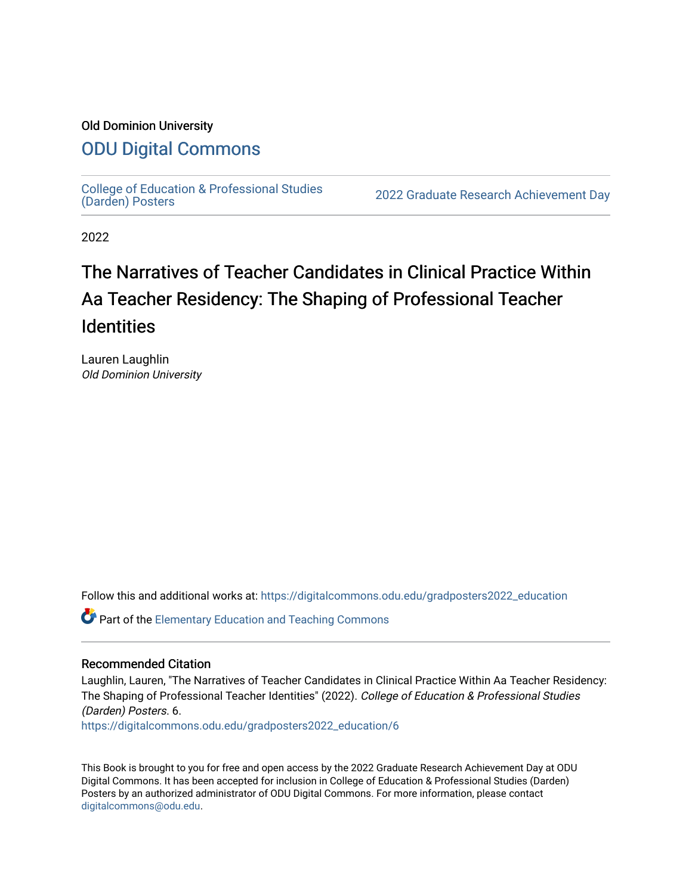### Old Dominion University

### [ODU Digital Commons](https://digitalcommons.odu.edu/)

College of Education & Professional Studies<br>(Darden) Posters

2022 Graduate Research Achievement Day

2022

### The Narratives of Teacher Candidates in Clinical Practice Within Aa Teacher Residency: The Shaping of Professional Teacher **Identities**

Lauren Laughlin Old Dominion University

Follow this and additional works at: [https://digitalcommons.odu.edu/gradposters2022\\_education](https://digitalcommons.odu.edu/gradposters2022_education?utm_source=digitalcommons.odu.edu%2Fgradposters2022_education%2F6&utm_medium=PDF&utm_campaign=PDFCoverPages)

**C** Part of the Elementary Education and Teaching Commons

### Recommended Citation

Laughlin, Lauren, "The Narratives of Teacher Candidates in Clinical Practice Within Aa Teacher Residency: The Shaping of Professional Teacher Identities" (2022). College of Education & Professional Studies (Darden) Posters. 6.

[https://digitalcommons.odu.edu/gradposters2022\\_education/6](https://digitalcommons.odu.edu/gradposters2022_education/6?utm_source=digitalcommons.odu.edu%2Fgradposters2022_education%2F6&utm_medium=PDF&utm_campaign=PDFCoverPages)

This Book is brought to you for free and open access by the 2022 Graduate Research Achievement Day at ODU Digital Commons. It has been accepted for inclusion in College of Education & Professional Studies (Darden) Posters by an authorized administrator of ODU Digital Commons. For more information, please contact [digitalcommons@odu.edu](mailto:digitalcommons@odu.edu).